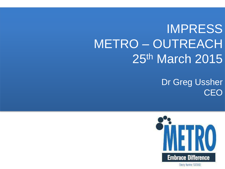# IMPRESS METRO – OUTREACH 25th March 2015

Dr Greg Ussher **CEO** 

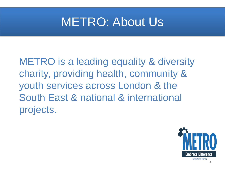#### METRO: About Us

METRO is a leading equality & diversity charity, providing health, community & youth services across London & the South East & national & international projects.



Charity Number 1070582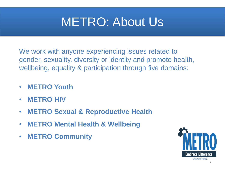#### METRO: About Us

We work with anyone experiencing issues related to gender, sexuality, diversity or identity and promote health, wellbeing, equality & participation through five domains:

- **METRO Youth**
- **METRO HIV**
- **METRO Sexual & Reproductive Health**
- **METRO Mental Health & Wellbeing**
- **METRO Community**

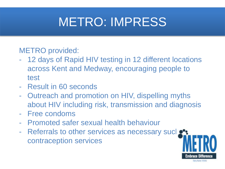# METRO: IMPRESS

#### METRO provided:

- 12 days of Rapid HIV testing in 12 different locations across Kent and Medway, encouraging people to test
- Result in 60 seconds
- Outreach and promotion on HIV, dispelling myths about HIV including risk, transmission and diagnosis
- Free condoms
- Promoted safer sexual health behaviour
- Referrals to other services as necessary such contraception services

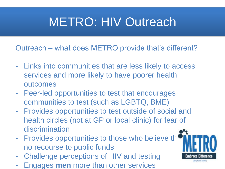# METRO: HIV Outreach

Outreach – what does METRO provide that's different?

- Links into communities that are less likely to access services and more likely to have poorer health outcomes
- Peer-led opportunities to test that encourages communities to test (such as LGBTQ, BME)
- Provides opportunities to test outside of social and health circles (not at GP or local clinic) for fear of discrimination
- Provides opportunities to those who believe th no recourse to public funds
- Challenge perceptions of HIV and testing
- Engages **men** more than other services

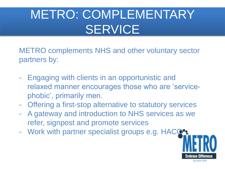# METRO: COMPLEMENTARY **SERVICE**

METRO complements NHS and other voluntary sector partners by:

- Engaging with clients in an opportunistic and relaxed manner encourages those who are 'servicephobic', primarily men.
- Offering a first-stop alternative to statutory services
- A gateway and introduction to NHS services as we refer, signpost and promote services
- Work with partner specialist groups e.g. HACQ<sup>o</sup>:

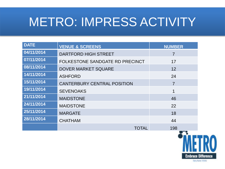| <b>DATE</b> | <b>VENUE &amp; SCREENS</b>         | <b>NUMBER</b>  |
|-------------|------------------------------------|----------------|
| 04/11/2014  | <b>DARTFORD HIGH STREET</b>        | $\overline{7}$ |
| 07/11/2014  | FOLKESTONE SANDGATE RD PRECINCT    | 17             |
| 08/11/2014  | <b>DOVER MARKET SQUARE</b>         | 12             |
| 14/11/2014  | <b>ASHFORD</b>                     | 24             |
| 15/11/2014  | <b>CANTERBURY CENTRAL POSITION</b> | $\overline{7}$ |
| 19/11/2014  | <b>SEVENOAKS</b>                   |                |
| 21/11/2014  | <b>MAIDSTONE</b>                   | 46             |
| 24/11/2014  | <b>MAIDSTONE</b>                   | 22             |
| 25/11/2014  | <b>MARGATE</b>                     | 18             |
| 28/11/2014  | <b>CHATHAM</b>                     | 44             |
|             | <b>TOTAL</b>                       | 198            |

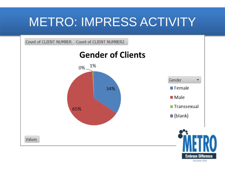

Charly Northe 137562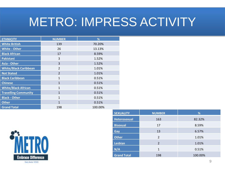| <b>ETHNICITY</b>             | <b>NUMBER</b>  | %       |
|------------------------------|----------------|---------|
| <b>White British</b>         | 139            | 70.20%  |
| <b>White - Other</b>         | 26             | 13.13%  |
| <b>Black African</b>         | 17             | 8.59%   |
| Pakistani                    | 3              | 1.52%   |
| <b>Asia - Other</b>          | 3              | 1.52%   |
| <b>White/Black Caribbean</b> | $\overline{2}$ | 1.01%   |
| <b>Not Stated</b>            | $\overline{2}$ | 1.01%   |
| <b>Black Caribbean</b>       | $\mathbf{1}$   | 0.51%   |
| <b>Chinese</b>               | $\mathbf{1}$   | 0.51%   |
| <b>White/Black African</b>   | $\mathbf{1}$   | 0.51%   |
| <b>Travelling Community</b>  | $\mathbf{1}$   | 0.51%   |
| <b>Black - Other</b>         | $\mathbf{1}$   | 0.51%   |
| <b>Other</b>                 | 1              | 0.51%   |
| <b>Grand Total</b>           | 198            | 100.00% |



| <b>SEXUALITY</b>    | <b>NUMBER</b>  | %       |
|---------------------|----------------|---------|
| <b>Heterosexual</b> | 163            | 82.32%  |
| <b>Bisexual</b>     | 17             | 8.59%   |
| Gay                 | 13             | 6.57%   |
| <b>Other</b>        | $\overline{2}$ | 1.01%   |
| <b>Lesbian</b>      | $\overline{2}$ | 1.01%   |
| N/A                 | 1              | 0.51%   |
| <b>Grand Total</b>  | 198            | 100.00% |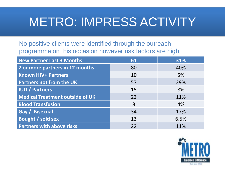No positive clients were identified through the outreach programme on this occasion however risk factors are high.

| <b>New Partner Last 3 Months</b>       | 61 | 31%  |
|----------------------------------------|----|------|
| 2 or more partners in 12 months        | 80 | 40%  |
| <b>Known HIV+ Partners</b>             | 10 | 5%   |
| <b>Partners not from the UK</b>        | 57 | 29%  |
| <b>IUD / Partners</b>                  | 15 | 8%   |
| <b>Medical Treatment outside of UK</b> | 22 | 11%  |
| <b>Blood Transfusion</b>               | 8  | 4%   |
| Gay / Bisexual                         | 34 | 17%  |
| Bought / sold sex                      | 13 | 6.5% |
| <b>Partners with above risks</b>       | 22 | 11%  |

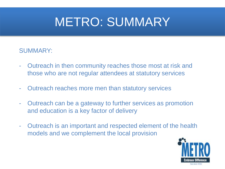#### METRO: SUMMARY

#### SUMMARY:

- Outreach in then community reaches those most at risk and those who are not regular attendees at statutory services
- Outreach reaches more men than statutory services
- Outreach can be a gateway to further services as promotion and education is a key factor of delivery
- Outreach is an important and respected element of the health models and we complement the local provision